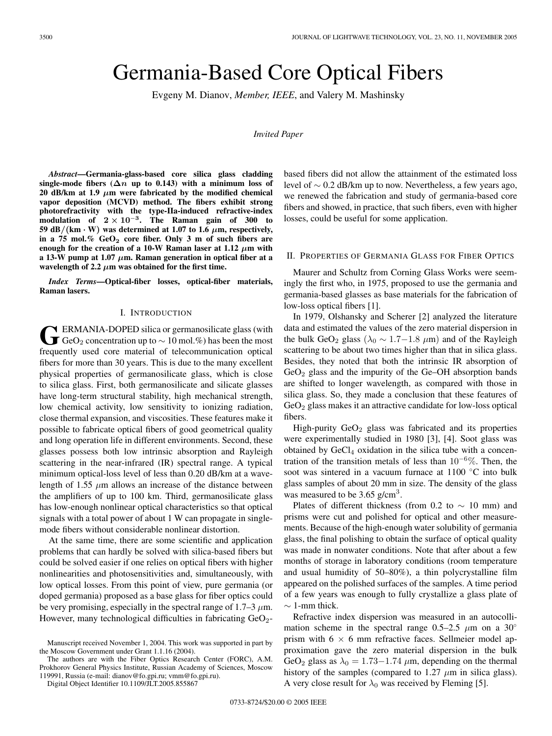# Germania-Based Core Optical Fibers

Evgeny M. Dianov, *Member, IEEE*, and Valery M. Mashinsky

*Invited Paper*

*Abstract***—Germania-glass-based core silica glass cladding** single-mode fibers  $(2n \text{ up to } 0.143)$  with a minimum loss of 20 dB/km at 1.9  $\mu$ m were fabricated by the modified chemical **vapor deposition (MCVD) method. The fibers exhibit strong photorefractivity with the type-IIa-induced refractive-index modulation** of  $2 \times 10^{-3}$ . The Raman gain of 300 to 59 dB/ $(km \cdot W)$  was determined at 1.07 to 1.6  $\mu$ m, respectively, **in a 75 mol.% GeO<sup>2</sup> core fiber. Only 3 m of such fibers are** enough for the creation of a 10-W Raman laser at 1.12  $\mu$ m with **a 13-W pump at 1.07**  $\mu$ **m. Raman generation in optical fiber at a** wavelength of 2.2  $\mu$ m was obtained for the first time.

*Index Terms***—Optical-fiber losses, optical-fiber materials, Raman lasers.**

## I. INTRODUCTION

**FIRMANIA-DOPED silica or germanosilicate glass (with**  $\textbf{J}$  GeO<sub>2</sub> concentration up to  $\sim$  10 mol.%) has been the most frequently used core material of telecommunication optical fibers for more than 30 years. This is due to the many excellent physical properties of germanosilicate glass, which is close to silica glass. First, both germanosilicate and silicate glasses have long-term structural stability, high mechanical strength, low chemical activity, low sensitivity to ionizing radiation, close thermal expansion, and viscosities. These features make it possible to fabricate optical fibers of good geometrical quality and long operation life in different environments. Second, these glasses possess both low intrinsic absorption and Rayleigh scattering in the near-infrared (IR) spectral range. A typical minimum optical-loss level of less than 0.20 dB/km at a wavelength of 1.55  $\mu$ m allows an increase of the distance between the amplifiers of up to 100 km. Third, germanosilicate glass has low-enough nonlinear optical characteristics so that optical signals with a total power of about 1 W can propagate in singlemode fibers without considerable nonlinear distortion.

At the same time, there are some scientific and application problems that can hardly be solved with silica-based fibers but could be solved easier if one relies on optical fibers with higher nonlinearities and photosensitivities and, simultaneously, with low optical losses. From this point of view, pure germania (or doped germania) proposed as a base glass for fiber optics could be very promising, especially in the spectral range of 1.7–3  $\mu$ m. However, many technological difficulties in fabricating GeO<sub>2</sub>-

The authors are with the Fiber Optics Research Center (FORC), A.M. Prokhorov General Physics Institute, Russian Academy of Sciences, Moscow 119991, Russia (e-mail: dianov@fo.gpi.ru; vmm@fo.gpi.ru).

Digital Object Identifier 10.1109/JLT.2005.855867

based fibers did not allow the attainment of the estimated loss level of ∼ 0.2 dB/km up to now. Nevertheless, a few years ago, we renewed the fabrication and study of germania-based core fibers and showed, in practice, that such fibers, even with higher losses, could be useful for some application.

# II. PROPERTIES OF GERMANIA GLASS FOR FIBER OPTICS

Maurer and Schultz from Corning Glass Works were seemingly the first who, in 1975, proposed to use the germania and germania-based glasses as base materials for the fabrication of low-loss optical fibers [1].

In 1979, Olshansky and Scherer [2] analyzed the literature data and estimated the values of the zero material dispersion in the bulk GeO<sub>2</sub> glass ( $\lambda_0 \sim 1.7 - 1.8 \mu m$ ) and of the Rayleigh scattering to be about two times higher than that in silica glass. Besides, they noted that both the intrinsic IR absorption of  $GeO<sub>2</sub>$  glass and the impurity of the Ge–OH absorption bands are shifted to longer wavelength, as compared with those in silica glass. So, they made a conclusion that these features of  $GeO<sub>2</sub>$  glass makes it an attractive candidate for low-loss optical fibers.

High-purity  $GeO<sub>2</sub>$  glass was fabricated and its properties were experimentally studied in 1980 [3], [4]. Soot glass was obtained by  $GeCl<sub>4</sub>$  oxidation in the silica tube with a concentration of the transition metals of less than  $10^{-6}\%$ . Then, the soot was sintered in a vacuum furnace at 1100 °C into bulk glass samples of about 20 mm in size. The density of the glass was measured to be  $3.65$  g/cm<sup>3</sup>.

Plates of different thickness (from 0.2 to  $\sim$  10 mm) and prisms were cut and polished for optical and other measurements. Because of the high-enough water solubility of germania glass, the final polishing to obtain the surface of optical quality was made in nonwater conditions. Note that after about a few months of storage in laboratory conditions (room temperature and usual humidity of 50–80%), a thin polycrystalline film appeared on the polished surfaces of the samples. A time period of a few years was enough to fully crystallize a glass plate of  $\sim$  1-mm thick.

Refractive index dispersion was measured in an autocollimation scheme in the spectral range 0.5–2.5  $\mu$ m on a 30° prism with  $6 \times 6$  mm refractive faces. Sellmeier model approximation gave the zero material dispersion in the bulk GeO<sub>2</sub> glass as  $\lambda_0 = 1.73 - 1.74 \mu$ m, depending on the thermal history of the samples (compared to  $1.27 \mu m$  in silica glass). A very close result for  $\lambda_0$  was received by Fleming [5].

Manuscript received November 1, 2004. This work was supported in part by the Moscow Government under Grant 1.1.16 (2004).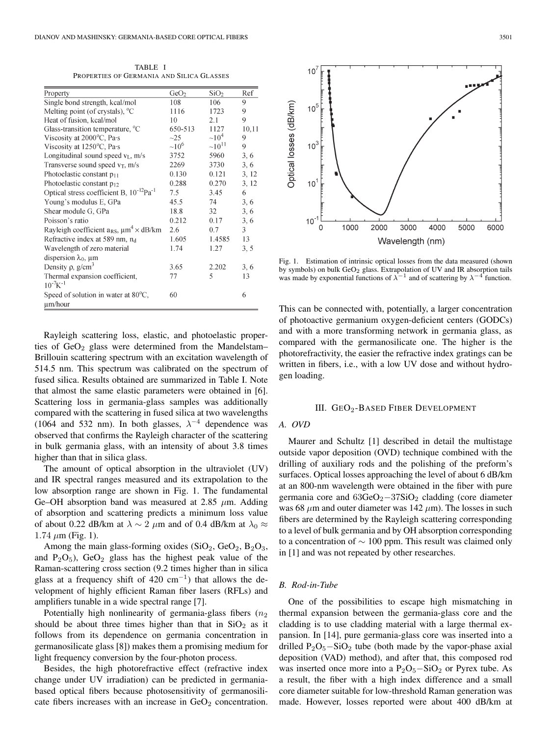TABLE I PROPERTIES OF GERMANIA AND SILICA GLASSES

| Property                                                  | GeO <sub>2</sub> | SiO <sub>2</sub> | Ref   |
|-----------------------------------------------------------|------------------|------------------|-------|
| Single bond strength, kcal/mol                            | 108              | 106              | 9     |
| Melting point (of crystals), $^{\circ}C$                  | 1116             | 1723             | 9     |
| Heat of fusion, kcal/mol                                  | 10               | 2.1              | 9     |
| Glass-transition temperature, <sup>o</sup> C              | 650-513          | 1127             | 10,11 |
| Viscosity at 2000°C, Pa·s                                 | $\sim$ 25        | $\sim 10^4$      | 9     |
| Viscosity at 1250°C, Pa·s                                 | $\sim 10^6$      | $\sim 10^{11}$   | 9     |
| Longitudinal sound speed $v_L$ , m/s                      | 3752             | 5960             | 3, 6  |
| Transverse sound speed $v_T$ , m/s                        | 2269             | 3730             | 3, 6  |
| Photoelastic constant $p_{11}$                            | 0.130            | 0.121            | 3, 12 |
| Photoelastic constant $p_{12}$                            | 0.288            | 0.270            | 3, 12 |
| Optical stress coefficient B, $10^{-12}$ Pa <sup>-1</sup> | 7.5              | 3.45             | 6     |
| Young's modulus E, GPa                                    | 45.5             | 74               | 3, 6  |
| Shear module G, GPa                                       | 18.8             | 32               | 3, 6  |
| Poisson's ratio                                           | 0.212            | 0.17             | 3, 6  |
| Rayleigh coefficient $a_{RS}$ , $\mu m^4 \times dB/km$    | 2.6              | 0.7              | 3     |
| Refractive index at 589 nm, n <sub>d</sub>                | 1.605            | 1.4585           | 13    |
| Wavelength of zero material                               | 1.74             | 1.27             | 3, 5  |
| dispersion $\lambda_0$ , $\mu$ m                          |                  |                  |       |
| Density $\rho$ , $g/cm^3$                                 | 3.65             | 2.202            | 3, 6  |
| Thermal expansion coefficient,                            | 77               | 5                | 13    |
| $10^{-7}K^{-1}$                                           |                  |                  |       |
| Speed of solution in water at $80^{\circ}$ C,<br>µm/hour  | 60               |                  | 6     |

Rayleigh scattering loss, elastic, and photoelastic properties of  $GeO<sub>2</sub>$  glass were determined from the Mandelstam– Brillouin scattering spectrum with an excitation wavelength of 514.5 nm. This spectrum was calibrated on the spectrum of fused silica. Results obtained are summarized in Table I. Note that almost the same elastic parameters were obtained in [6]. Scattering loss in germania-glass samples was additionally compared with the scattering in fused silica at two wavelengths (1064 and 532 nm). In both glasses,  $\lambda^{-4}$  dependence was observed that confirms the Rayleigh character of the scattering in bulk germania glass, with an intensity of about 3.8 times higher than that in silica glass.

The amount of optical absorption in the ultraviolet (UV) and IR spectral ranges measured and its extrapolation to the low absorption range are shown in Fig. 1. The fundamental Ge–OH absorption band was measured at 2.85  $\mu$ m. Adding of absorption and scattering predicts a minimum loss value of about 0.22 dB/km at  $\lambda \sim 2 \mu$ m and of 0.4 dB/km at  $\lambda_0 \approx$  $1.74 \mu m$  (Fig. 1).

Among the main glass-forming oxides  $(SiO<sub>2</sub>, GeO<sub>2</sub>, B<sub>2</sub>O<sub>3</sub>)$ and  $P_2O_5$ ),  $GeO_2$  glass has the highest peak value of the Raman-scattering cross section (9.2 times higher than in silica glass at a frequency shift of 420 cm<sup>-1</sup>) that allows the development of highly efficient Raman fiber lasers (RFLs) and amplifiers tunable in a wide spectral range [7].

Potentially high nonlinearity of germania-glass fibers  $(n_2)$ should be about three times higher than that in  $SiO<sub>2</sub>$  as it follows from its dependence on germania concentration in germanosilicate glass [8]) makes them a promising medium for light frequency conversion by the four-photon process.

Besides, the high photorefractive effect (refractive index change under UV irradiation) can be predicted in germaniabased optical fibers because photosensitivity of germanosilicate fibers increases with an increase in  $GeO<sub>2</sub>$  concentration.



Fig. 1. Estimation of intrinsic optical losses from the data measured (shown by symbols) on bulk GeO<sub>2</sub> glass. Extrapolation of UV and IR absorption tails was made by exponential functions of  $\lambda^{-1}$  and of scattering by  $\lambda^{-4}$  function.

This can be connected with, potentially, a larger concentration of photoactive germanium oxygen-deficient centers (GODCs) and with a more transforming network in germania glass, as compared with the germanosilicate one. The higher is the photorefractivity, the easier the refractive index gratings can be written in fibers, i.e., with a low UV dose and without hydrogen loading.

#### III. GEO2-BASED FIBER DEVELOPMENT

# *A. OVD*

Maurer and Schultz [1] described in detail the multistage outside vapor deposition (OVD) technique combined with the drilling of auxiliary rods and the polishing of the preform's surfaces. Optical losses approaching the level of about 6 dB/km at an 800-nm wavelength were obtained in the fiber with pure germania core and 63GeO<sub>2</sub> $-37SiO<sub>2</sub>$  cladding (core diameter was 68  $\mu$ m and outer diameter was 142  $\mu$ m). The losses in such fibers are determined by the Rayleigh scattering corresponding to a level of bulk germania and by OH absorption corresponding to a concentration of  $\sim$  100 ppm. This result was claimed only in [1] and was not repeated by other researches.

## *B. Rod-in-Tube*

One of the possibilities to escape high mismatching in thermal expansion between the germania-glass core and the cladding is to use cladding material with a large thermal expansion. In [14], pure germania-glass core was inserted into a drilled  $P_2O_5-SiO_2$  tube (both made by the vapor-phase axial deposition (VAD) method), and after that, this composed rod was inserted once more into a  $P_2O_5-SiO_2$  or Pyrex tube. As a result, the fiber with a high index difference and a small core diameter suitable for low-threshold Raman generation was made. However, losses reported were about 400 dB/km at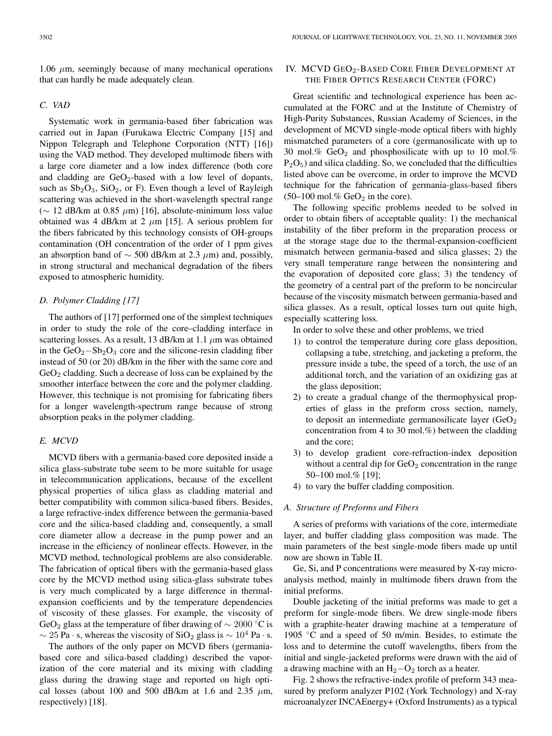$1.06 \mu m$ , seemingly because of many mechanical operations that can hardly be made adequately clean.

## *C. VAD*

Systematic work in germania-based fiber fabrication was carried out in Japan (Furukawa Electric Company [15] and Nippon Telegraph and Telephone Corporation (NTT) [16]) using the VAD method. They developed multimode fibers with a large core diameter and a low index difference (both core and cladding are  $GeO<sub>2</sub>$ -based with a low level of dopants, such as  $Sb_2O_3$ ,  $SiO_2$ , or F). Even though a level of Rayleigh scattering was achieved in the short-wavelength spectral range (∼ 12 dB/km at 0.85 µm) [16], absolute-minimum loss value obtained was 4 dB/km at 2  $\mu$ m [15]. A serious problem for the fibers fabricated by this technology consists of OH-groups contamination (OH concentration of the order of 1 ppm gives an absorption band of  $\sim$  500 dB/km at 2.3  $\mu$ m) and, possibly, in strong structural and mechanical degradation of the fibers exposed to atmospheric humidity.

## *D. Polymer Cladding [17]*

The authors of [17] performed one of the simplest techniques in order to study the role of the core–cladding interface in scattering losses. As a result, 13 dB/km at 1.1  $\mu$ m was obtained in the  $GeO<sub>2</sub> - Sb<sub>2</sub>O<sub>3</sub>$  core and the silicone-resin cladding fiber instead of 50 (or 20) dB/km in the fiber with the same core and  $GeO<sub>2</sub>$  cladding. Such a decrease of loss can be explained by the smoother interface between the core and the polymer cladding. However, this technique is not promising for fabricating fibers for a longer wavelength-spectrum range because of strong absorption peaks in the polymer cladding.

## *E. MCVD*

MCVD fibers with a germania-based core deposited inside a silica glass-substrate tube seem to be more suitable for usage in telecommunication applications, because of the excellent physical properties of silica glass as cladding material and better compatibility with common silica-based fibers. Besides, a large refractive-index difference between the germania-based core and the silica-based cladding and, consequently, a small core diameter allow a decrease in the pump power and an increase in the efficiency of nonlinear effects. However, in the MCVD method, technological problems are also considerable. The fabrication of optical fibers with the germania-based glass core by the MCVD method using silica-glass substrate tubes is very much complicated by a large difference in thermalexpansion coefficients and by the temperature dependencies of viscosity of these glasses. For example, the viscosity of GeO<sub>2</sub> glass at the temperature of fiber drawing of  $\sim 2000$  °C is  $\sim$  25 Pa · s, whereas the viscosity of SiO<sub>2</sub> glass is  $\sim 10^4$  Pa · s.

The authors of the only paper on MCVD fibers (germaniabased core and silica-based cladding) described the vaporization of the core material and its mixing with cladding glass during the drawing stage and reported on high optical losses (about 100 and 500 dB/km at 1.6 and 2.35  $\mu$ m, respectively) [18].

# IV. MCVD GEO<sub>2</sub>-BASED CORE FIBER DEVELOPMENT AT THE FIBER OPTICS RESEARCH CENTER (FORC)

Great scientific and technological experience has been accumulated at the FORC and at the Institute of Chemistry of High-Purity Substances, Russian Academy of Sciences, in the development of MCVD single-mode optical fibers with highly mismatched parameters of a core (germanosilicate with up to 30 mol.%  $GeO<sub>2</sub>$  and phosphosilicate with up to 10 mol.%  $P_2O_5$ ) and silica cladding. So, we concluded that the difficulties listed above can be overcome, in order to improve the MCVD technique for the fabrication of germania-glass-based fibers  $(50-100 \text{ mol.}\% \text{ GeO}_2 \text{ in the core}).$ 

The following specific problems needed to be solved in order to obtain fibers of acceptable quality: 1) the mechanical instability of the fiber preform in the preparation process or at the storage stage due to the thermal-expansion-coefficient mismatch between germania-based and silica glasses; 2) the very small temperature range between the nonsintering and the evaporation of deposited core glass; 3) the tendency of the geometry of a central part of the preform to be noncircular because of the viscosity mismatch between germania-based and silica glasses. As a result, optical losses turn out quite high, especially scattering loss.

In order to solve these and other problems, we tried

- 1) to control the temperature during core glass deposition, collapsing a tube, stretching, and jacketing a preform, the pressure inside a tube, the speed of a torch, the use of an additional torch, and the variation of an oxidizing gas at the glass deposition;
- 2) to create a gradual change of the thermophysical properties of glass in the preform cross section, namely, to deposit an intermediate germanosilicate layer  $(GeO<sub>2</sub>)$ concentration from 4 to 30 mol.%) between the cladding and the core;
- 3) to develop gradient core-refraction-index deposition without a central dip for  $GeO<sub>2</sub>$  concentration in the range 50–100 mol.% [19];
- 4) to vary the buffer cladding composition.

## *A. Structure of Preforms and Fibers*

A series of preforms with variations of the core, intermediate layer, and buffer cladding glass composition was made. The main parameters of the best single-mode fibers made up until now are shown in Table II.

Ge, Si, and P concentrations were measured by X-ray microanalysis method, mainly in multimode fibers drawn from the initial preforms.

Double jacketing of the initial preforms was made to get a preform for single-mode fibers. We drew single-mode fibers with a graphite-heater drawing machine at a temperature of 1905 ◦C and a speed of 50 m/min. Besides, to estimate the loss and to determine the cutoff wavelengths, fibers from the initial and single-jacketed preforms were drawn with the aid of a drawing machine with an  $H_2-O_2$  torch as a heater.

Fig. 2 shows the refractive-index profile of preform 343 measured by preform analyzer P102 (York Technology) and X-ray microanalyzer INCAEnergy+ (Oxford Instruments) as a typical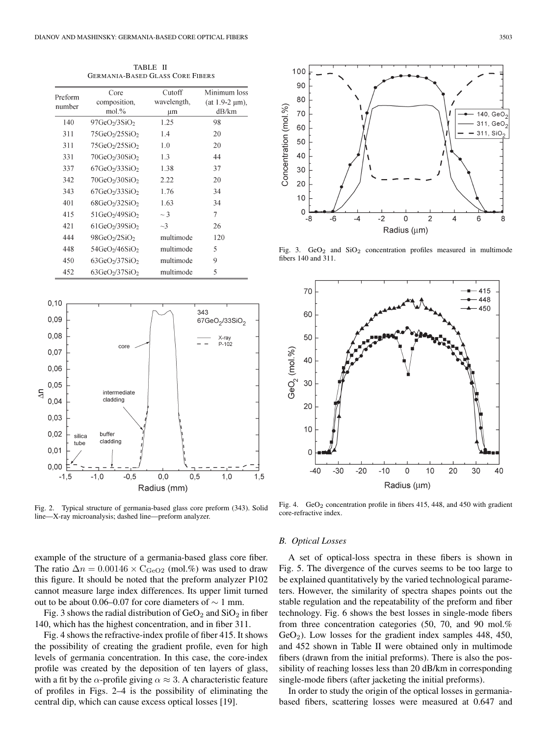TABLE II GERMANIA-BASED GLASS CORE FIBERS

| Preform<br>number | Core                                      | Cutoff      | Minimum los:        |  |
|-------------------|-------------------------------------------|-------------|---------------------|--|
|                   | composition,                              | wavelength, | (at 1.9-2 $\mu$ m). |  |
|                   | $mol$ %                                   | μm          | dB/km               |  |
| 140               | 97GeO <sub>2</sub> /3SiO <sub>2</sub>     | 1.25        | 98                  |  |
| 311               | 75 GeO <sub>2</sub> /25 SiO <sub>2</sub>  | 1.4         | 20                  |  |
| 311               | 75 GeO <sub>2</sub> /25 SiO <sub>2</sub>  | 1.0         | 20                  |  |
| 331               | 70 GeO <sub>2</sub> /30SiO <sub>2</sub>   | 1.3         | 44                  |  |
| 337               | $67$ GeO <sub>2</sub> /33SiO <sub>2</sub> | 1.38        | 37                  |  |
| 342               | 70 GeO <sub>2</sub> /30SiO <sub>2</sub>   | 2.22        | 20                  |  |
| 343               | $67$ GeO <sub>2</sub> /33SiO <sub>2</sub> | 1.76        | 34                  |  |
| 401               | 68GeV/32SiO <sub>2</sub>                  | 1.63        | 34                  |  |
| 415               | $51$ GeO <sub>2</sub> /49SiO <sub>2</sub> | $\sim$ 3    | 7                   |  |
| 421               | $61$ GeO <sub>2</sub> /39SiO <sub>2</sub> | $\sim$ 3    | 26                  |  |
| 444               | 98GeO <sub>2</sub> /2SiO <sub>2</sub>     | multimode   | 120                 |  |
| 448               | 54GeO <sub>2</sub> /46SiO <sub>2</sub>    | multimode   | 5                   |  |
| 450               | 63GeO <sub>2</sub> /37SiO <sub>2</sub>    | multimode   | 9                   |  |
| 452               | 63GeO <sub>2</sub> /37SiO <sub>2</sub>    | multimode   | 5                   |  |



Fig. 2. Typical structure of germania-based glass core preform (343). Solid line—X-ray microanalysis; dashed line—preform analyzer.

example of the structure of a germania-based glass core fiber. The ratio  $\Delta n = 0.00146 \times C_{\text{GeO2}}$  (mol.%) was used to draw this figure. It should be noted that the preform analyzer P102 cannot measure large index differences. Its upper limit turned out to be about 0.06–0.07 for core diameters of  $\sim$  1 mm.

Fig. 3 shows the radial distribution of  $GeO<sub>2</sub>$  and  $SiO<sub>2</sub>$  in fiber 140, which has the highest concentration, and in fiber 311.

Fig. 4 shows the refractive-index profile of fiber 415. It shows the possibility of creating the gradient profile, even for high levels of germania concentration. In this case, the core-index profile was created by the deposition of ten layers of glass, with a fit by the  $\alpha$ -profile giving  $\alpha \approx 3$ . A characteristic feature of profiles in Figs. 2–4 is the possibility of eliminating the central dip, which can cause excess optical losses [19].



Fig. 3.  $GeO<sub>2</sub>$  and  $SiO<sub>2</sub>$  concentration profiles measured in multimode fibers 140 and 311.



Fig. 4.  $GeO<sub>2</sub>$  concentration profile in fibers 415, 448, and 450 with gradient core-refractive index.

## *B. Optical Losses*

A set of optical-loss spectra in these fibers is shown in Fig. 5. The divergence of the curves seems to be too large to be explained quantitatively by the varied technological parameters. However, the similarity of spectra shapes points out the stable regulation and the repeatability of the preform and fiber technology. Fig. 6 shows the best losses in single-mode fibers from three concentration categories (50, 70, and 90 mol.%  $GeO<sub>2</sub>$ ). Low losses for the gradient index samples 448, 450, and 452 shown in Table II were obtained only in multimode fibers (drawn from the initial preforms). There is also the possibility of reaching losses less than 20 dB/km in corresponding single-mode fibers (after jacketing the initial preforms).

In order to study the origin of the optical losses in germaniabased fibers, scattering losses were measured at 0.647 and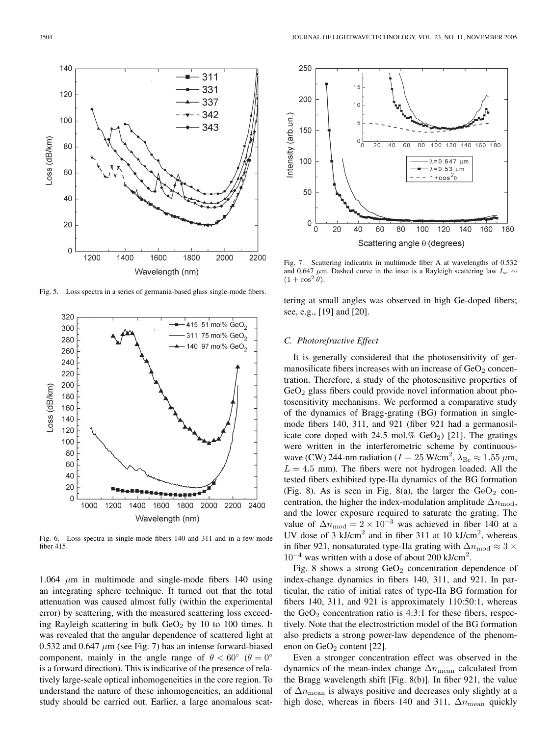

Fig. 5. Loss spectra in a series of germania-based glass single-mode fibers.



Fig. 6. Loss spectra in single-mode fibers 140 and 311 and in a few-mode fiber 415.

1.064  $\mu$ m in multimode and single-mode fibers 140 using an integrating sphere technique. It turned out that the total attenuation was caused almost fully (within the experimental error) by scattering, with the measured scattering loss exceeding Rayleigh scattering in bulk  $GeO<sub>2</sub>$  by 10 to 100 times. It was revealed that the angular dependence of scattered light at 0.532 and 0.647  $\mu$ m (see Fig. 7) has an intense forward-biased component, mainly in the angle range of  $\theta < 60^{\circ}$  ( $\theta = 0^{\circ}$ ) is a forward direction). This is indicative of the presence of relatively large-scale optical inhomogeneities in the core region. To understand the nature of these inhomogeneities, an additional study should be carried out. Earlier, a large anomalous scat-



Fig. 7. Scattering indicatrix in multimode fiber A at wavelengths of 0.532 and 0.647  $\mu$ m. Dashed curve in the inset is a Rayleigh scattering law I<sub>sc</sub> ∼  $(1 + \cos^2 \theta)$ .

tering at small angles was observed in high Ge-doped fibers; see, e.g., [19] and [20].

## *C. Photorefractive Effect*

It is generally considered that the photosensitivity of germanosilicate fibers increases with an increase of  $GeO<sub>2</sub>$  concentration. Therefore, a study of the photosensitive properties of  $GeO<sub>2</sub>$  glass fibers could provide novel information about photosensitivity mechanisms. We performed a comparative study of the dynamics of Bragg-grating (BG) formation in singlemode fibers 140, 311, and 921 (fiber 921 had a germanosilicate core doped with 24.5 mol.%  $GeO<sub>2</sub>$ ) [21]. The gratings were written in the interferometric scheme by continuouswave (CW) 244-nm radiation ( $I = 25$  W/cm<sup>2</sup>,  $\lambda_{\text{Br}} \approx 1.55$   $\mu$ m,  $L = 4.5$  mm). The fibers were not hydrogen loaded. All the tested fibers exhibited type-IIa dynamics of the BG formation (Fig. 8). As is seen in Fig. 8(a), the larger the  $GeO<sub>2</sub>$  concentration, the higher the index-modulation amplitude  $\Delta n_{\text{mod}}$ , and the lower exposure required to saturate the grating. The value of  $\Delta n_{\text{mod}} = 2 \times 10^{-3}$  was achieved in fiber 140 at a UV dose of 3 kJ/cm<sup>2</sup> and in fiber 311 at 10 kJ/cm<sup>2</sup>, whereas in fiber 921, nonsaturated type-IIa grating with  $\Delta n_{\text{mod}} \approx 3 \times$  $10^{-4}$  was written with a dose of about 200 kJ/cm<sup>2</sup>.

Fig. 8 shows a strong  $GeO<sub>2</sub>$  concentration dependence of index-change dynamics in fibers 140, 311, and 921. In particular, the ratio of initial rates of type-IIa BG formation for fibers 140, 311, and 921 is approximately 110:50:1, whereas the  $GeO<sub>2</sub>$  concentration ratio is 4:3:1 for these fibers, respectively. Note that the electrostriction model of the BG formation also predicts a strong power-law dependence of the phenomenon on  $GeO<sub>2</sub>$  content [22].

Even a stronger concentration effect was observed in the dynamics of the mean-index change  $\Delta n_{\text{mean}}$  calculated from the Bragg wavelength shift [Fig. 8(b)]. In fiber 921, the value of  $\Delta n_{\text{mean}}$  is always positive and decreases only slightly at a high dose, whereas in fibers 140 and 311,  $\Delta n_{\text{mean}}$  quickly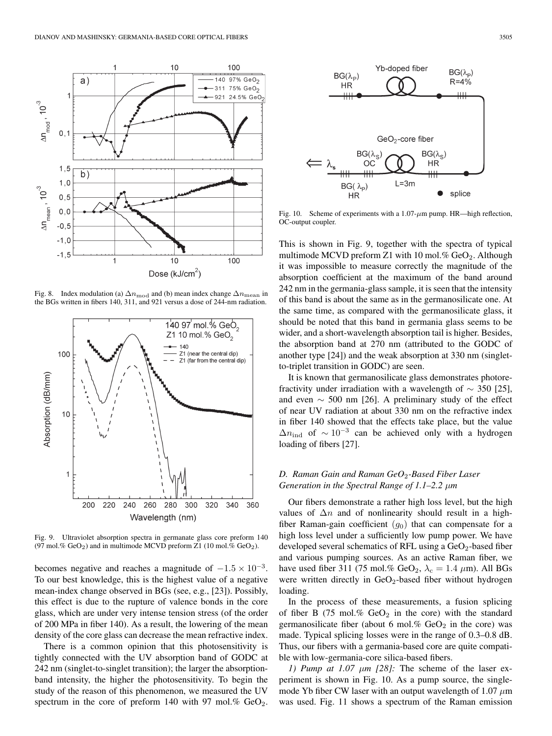

Fig. 8. Index modulation (a)  $\Delta n_{\text{mod}}$  and (b) mean index change  $\Delta n_{\text{mean}}$  in the BGs written in fibers 140, 311, and 921 versus a dose of 244-nm radiation.



Fig. 9. Ultraviolet absorption spectra in germanate glass core preform 140 (97 mol.%  $GeO<sub>2</sub>$ ) and in multimode MCVD preform Z1 (10 mol.%  $GeO<sub>2</sub>$ ).

becomes negative and reaches a magnitude of  $-1.5 \times 10^{-3}$ . To our best knowledge, this is the highest value of a negative mean-index change observed in BGs (see, e.g., [23]). Possibly, this effect is due to the rupture of valence bonds in the core glass, which are under very intense tension stress (of the order of 200 MPa in fiber 140). As a result, the lowering of the mean density of the core glass can decrease the mean refractive index.

There is a common opinion that this photosensitivity is tightly connected with the UV absorption band of GODC at 242 nm (singlet-to-singlet transition); the larger the absorptionband intensity, the higher the photosensitivity. To begin the study of the reason of this phenomenon, we measured the UV spectrum in the core of preform 140 with 97 mol.%  $GeO<sub>2</sub>$ .



Fig. 10. Scheme of experiments with a  $1.07 - \mu m$  pump. HR—high reflection, OC-output coupler.

This is shown in Fig. 9, together with the spectra of typical multimode MCVD preform Z1 with 10 mol.%  $GeO<sub>2</sub>$ . Although it was impossible to measure correctly the magnitude of the absorption coefficient at the maximum of the band around 242 nm in the germania-glass sample, it is seen that the intensity of this band is about the same as in the germanosilicate one. At the same time, as compared with the germanosilicate glass, it should be noted that this band in germania glass seems to be wider, and a short-wavelength absorption tail is higher. Besides, the absorption band at 270 nm (attributed to the GODC of another type [24]) and the weak absorption at 330 nm (singletto-triplet transition in GODC) are seen.

It is known that germanosilicate glass demonstrates photorefractivity under irradiation with a wavelength of  $\sim$  350 [25], and even  $\sim$  500 nm [26]. A preliminary study of the effect of near UV radiation at about 330 nm on the refractive index in fiber 140 showed that the effects take place, but the value  $\Delta n_{\text{ind}}$  of  $\sim 10^{-3}$  can be achieved only with a hydrogen loading of fibers [27].

# *D. Raman Gain and Raman GeO*2*-Based Fiber Laser Generation in the Spectral Range of 1.1–2.2* µ*m*

Our fibers demonstrate a rather high loss level, but the high values of  $\Delta n$  and of nonlinearity should result in a highfiber Raman-gain coefficient  $(q_0)$  that can compensate for a high loss level under a sufficiently low pump power. We have developed several schematics of RFL using a  $GeO<sub>2</sub>$ -based fiber and various pumping sources. As an active Raman fiber, we have used fiber 311 (75 mol.% GeO<sub>2</sub>,  $\lambda_c = 1.4 \mu$ m). All BGs were written directly in  $GeO<sub>2</sub>$ -based fiber without hydrogen loading.

In the process of these measurements, a fusion splicing of fiber B (75 mol.%  $GeO<sub>2</sub>$  in the core) with the standard germanosilicate fiber (about 6 mol.%  $GeO<sub>2</sub>$  in the core) was made. Typical splicing losses were in the range of 0.3–0.8 dB. Thus, our fibers with a germania-based core are quite compatible with low-germania-core silica-based fibers.

*1) Pump at 1.07*  $\mu$ *m [28]:* The scheme of the laser experiment is shown in Fig. 10. As a pump source, the singlemode Yb fiber CW laser with an output wavelength of 1.07  $\mu$ m was used. Fig. 11 shows a spectrum of the Raman emission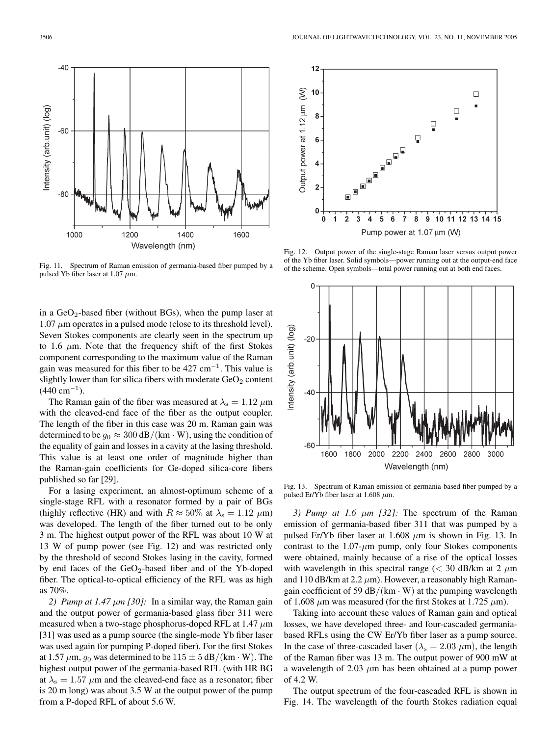Output power at 1.12 um (W)

 $10$ 

8

 $\bf 6$ 

 $\overline{\mathbf{4}}$ 

 $\overline{2}$ 

0  $\ddot{\mathbf{0}}$  $\mathbf{1}$  $\overline{\mathbf{2}}$  $\overline{3}$  $\overline{\mathbf{4}}$  $\overline{5}$  $6$  $\overline{7}$ 

Fig. 11. Spectrum of Raman emission of germania-based fiber pumped by a pulsed Yb fiber laser at 1.07  $\mu$ m.

in a  $GeO<sub>2</sub>$ -based fiber (without BGs), when the pump laser at  $1.07 \mu$ m operates in a pulsed mode (close to its threshold level). Seven Stokes components are clearly seen in the spectrum up to 1.6  $\mu$ m. Note that the frequency shift of the first Stokes component corresponding to the maximum value of the Raman gain was measured for this fiber to be  $427 \text{ cm}^{-1}$ . This value is slightly lower than for silica fibers with moderate  $GeO<sub>2</sub>$  content  $(440 \text{ cm}^{-1})$ .

The Raman gain of the fiber was measured at  $\lambda_s = 1.12 \ \mu m$ with the cleaved-end face of the fiber as the output coupler. The length of the fiber in this case was 20 m. Raman gain was determined to be  $g_0 \approx 300 \text{ dB/(km} \cdot \text{W)}$ , using the condition of the equality of gain and losses in a cavity at the lasing threshold. This value is at least one order of magnitude higher than the Raman-gain coefficients for Ge-doped silica-core fibers published so far [29].

For a lasing experiment, an almost-optimum scheme of a single-stage RFL with a resonator formed by a pair of BGs (highly reflective (HR) and with  $R \approx 50\%$  at  $\lambda_s = 1.12 \ \mu m$ ) was developed. The length of the fiber turned out to be only 3 m. The highest output power of the RFL was about 10 W at 13 W of pump power (see Fig. 12) and was restricted only by the threshold of second Stokes lasing in the cavity, formed by end faces of the  $GeO<sub>2</sub>$ -based fiber and of the Yb-doped fiber. The optical-to-optical efficiency of the RFL was as high as 70%.

2) *Pump at 1.47*  $\mu$ *m [30]*: In a similar way, the Raman gain and the output power of germania-based glass fiber 311 were measured when a two-stage phosphorus-doped RFL at 1.47  $\mu$ m [31] was used as a pump source (the single-mode Yb fiber laser was used again for pumping P-doped fiber). For the first Stokes at 1.57  $\mu$ m,  $g_0$  was determined to be  $115 \pm 5$  dB/(km  $\cdot$  W). The highest output power of the germania-based RFL (with HR BG at  $\lambda$ <sub>s</sub> = 1.57  $\mu$ m and the cleaved-end face as a resonator; fiber is 20 m long) was about 3.5 W at the output power of the pump from a P-doped RFL of about 5.6 W.



Pump power at 1.07 um (W)

]<br>∫⊡ <sub>.</sub>  $\begin{array}{c} \hline \end{array}$ 



Fig. 13. Spectrum of Raman emission of germania-based fiber pumped by a pulsed Er/Yb fiber laser at 1.608  $\mu$ m.

*3) Pump at 1.6* µ*m [32]:* The spectrum of the Raman emission of germania-based fiber 311 that was pumped by a pulsed Er/Yb fiber laser at 1.608  $\mu$ m is shown in Fig. 13. In contrast to the  $1.07$ - $\mu$ m pump, only four Stokes components were obtained, mainly because of a rise of the optical losses with wavelength in this spectral range ( $<$  30 dB/km at 2  $\mu$ m and 110 dB/km at 2.2  $\mu$ m). However, a reasonably high Ramangain coefficient of 59  $dB/(km \cdot W)$  at the pumping wavelength of 1.608  $\mu$ m was measured (for the first Stokes at 1.725  $\mu$ m).

Taking into account these values of Raman gain and optical losses, we have developed three- and four-cascaded germaniabased RFLs using the CW Er/Yb fiber laser as a pump source. In the case of three-cascaded laser ( $\lambda$ <sub>s</sub> = 2.03  $\mu$ m), the length of the Raman fiber was 13 m. The output power of 900 mW at a wavelength of 2.03  $\mu$ m has been obtained at a pump power of 4.2 W.

The output spectrum of the four-cascaded RFL is shown in Fig. 14. The wavelength of the fourth Stokes radiation equal



 $\Box$ 

 $\Box$ 

8 9 10 11 12 13 14 15

Ō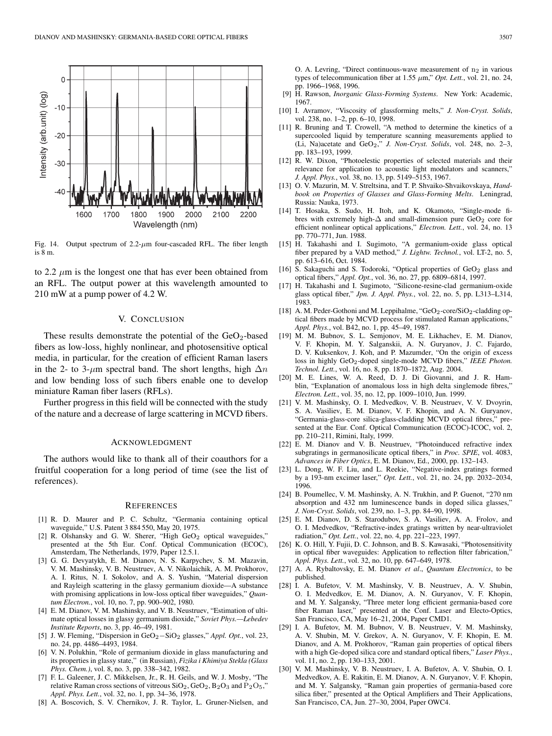

Fig. 14. Output spectrum of  $2.2-\mu m$  four-cascaded RFL. The fiber length is 8 m.

to 2.2  $\mu$ m is the longest one that has ever been obtained from an RFL. The output power at this wavelength amounted to 210 mW at a pump power of 4.2 W.

## V. CONCLUSION

These results demonstrate the potential of the  $GeO<sub>2</sub>$ -based fibers as low-loss, highly nonlinear, and photosensitive optical media, in particular, for the creation of efficient Raman lasers in the 2- to 3- $\mu$ m spectral band. The short lengths, high  $\Delta n$ and low bending loss of such fibers enable one to develop miniature Raman fiber lasers (RFLs).

Further progress in this field will be connected with the study of the nature and a decrease of large scattering in MCVD fibers.

#### ACKNOWLEDGMENT

The authors would like to thank all of their coauthors for a fruitful cooperation for a long period of time (see the list of references).

### **REFERENCES**

- [1] R. D. Maurer and P. C. Schultz, "Germania containing optical waveguide," U.S. Patent 3 884 550, May 20, 1975.
- [2] R. Olshansky and G. W. Sherer, "High GeO<sub>2</sub> optical waveguides," presented at the 5th Eur. Conf. Optical Communication (ECOC), Amsterdam, The Netherlands, 1979, Paper 12.5.1.
- [3] G. G. Devyatykh, E. M. Dianov, N. S. Karpychev, S. M. Mazavin, V. M. Mashinsky, V. B. Neustruev, A. V. Nikolaichik, A. M. Prokhorov, A. I. Ritus, N. I. Sokolov, and A. S. Yushin, "Material dispersion and Rayleigh scattering in the glassy germanium dioxide—A substance with promising applications in low-loss optical fiber waveguides," *Quantum Electron.*, vol. 10, no. 7, pp. 900–902, 1980.
- [4] E. M. Dianov, V. M. Mashinsky, and V. B. Neustruev, "Estimation of ultimate optical losses in glassy germanium dioxide," *Soviet Phys.—Lebedev Institute Reports*, no. 3, pp. 46–49, 1981.
- [5] J. W. Fleming, "Dispersion in GeO2−SiO<sup>2</sup> glasses," *Appl. Opt.*, vol. 23, no. 24, pp. 4486–4493, 1984.
- [6] V. N. Polukhin, "Role of germanium dioxide in glass manufacturing and its properties in glassy state," (in Russian), *Fizika i Khimiya Stekla (Glass Phys. Chem.)*, vol. 8, no. 3, pp. 338–342, 1982.
- [7] F. L. Galeener, J. C. Mikkelsen, Jr., R. H. Geils, and W. J. Mosby, "The relative Raman cross sections of vitreous  $SiO<sub>2</sub>$ ,  $GeO<sub>2</sub>$ ,  $B<sub>2</sub>O<sub>3</sub>$  and  $P<sub>2</sub>O<sub>5</sub>$ , *Appl. Phys. Lett.*, vol. 32, no. 1, pp. 34–36, 1978.
- [8] A. Boscovich, S. V. Chernikov, J. R. Taylor, L. Gruner-Nielsen, and

O. A. Levring, "Direct continuous-wave measurement of  $n_2$  in various types of telecommunication fiber at  $1.55 \mu m$ ," *Opt. Lett.*, vol. 21, no. 24, pp. 1966–1968, 1996.

- [9] H. Rawson, *Inorganic Glass-Forming Systems*. New York: Academic, 1967.
- [10] I. Avramov, "Viscosity of glassforming melts," *J. Non-Cryst. Solids*, vol. 238, no. 1–2, pp. 6–10, 1998.
- [11] R. Bruning and T. Crowell, "A method to determine the kinetics of a supercooled liquid by temperature scanning measurements applied to (Li, Na)acetate and GeO2," *J. Non-Cryst. Solids*, vol. 248, no. 2–3, pp. 183–193, 1999.
- [12] R. W. Dixon, "Photoelestic properties of selected materials and their relevance for application to acoustic light modulators and scanners," *J. Appl. Phys.*, vol. 38, no. 13, pp. 5149–5153, 1967.
- [13] O. V. Mazurin, M. V. Streltsina, and T. P. Shvaiko-Shvaikovskaya, *Handbook on Properties of Glasses and Glass-Forming Melts*. Leningrad, Russia: Nauka, 1973.
- [14] T. Hosaka, S. Sudo, H. Itoh, and K. Okamoto, "Single-mode fibres with extremely high- $\Delta$  and small-dimension pure GeO<sub>2</sub> core for efficient nonlinear optical applications," *Electron. Lett.*, vol. 24, no. 13 pp. 770–771, Jun. 1988.
- [15] H. Takahashi and I. Sugimoto, "A germanium-oxide glass optical fiber prepared by a VAD method," *J. Lightw. Technol.*, vol. LT-2, no. 5, pp. 613–616, Oct. 1984.
- [16] S. Sakaguchi and S. Todoroki, "Optical properties of GeO<sub>2</sub> glass and optical fibers," *Appl. Opt.*, vol. 36, no. 27, pp. 6809–6814, 1997.
- [17] H. Takahashi and I. Sugimoto, "Silicone-resine-clad germanium-oxide glass optical fiber," *Jpn. J. Appl. Phys.*, vol. 22, no. 5, pp. L313–L314, 1983.
- [18] A. M. Peder-Gothoni and M. Leppihalme, "GeO<sub>2</sub>-core/SiO<sub>2</sub>-cladding optical fibers made by MCVD process for stimulated Raman applications," *Appl. Phys.*, vol. B42, no. 1, pp. 45–49, 1987.
- [19] M. M. Bubnov, S. L. Semjonov, M. E. Likhachev, E. M. Dianov, V. F. Khopin, M. Y. Salganskii, A. N. Guryanov, J. C. Fajardo, D. V. Kuksenkov, J. Koh, and P. Mazumder, "On the origin of excess loss in highly GeO2-doped single-mode MCVD fibers," *IEEE Photon. Technol. Lett.*, vol. 16, no. 8, pp. 1870–1872, Aug. 2004.
- [20] M. E. Lines, W. A. Reed, D. J. Di Giovanni, and J. R. Hamblin, "Explanation of anomalous loss in high delta singlemode fibres," *Electron. Lett.*, vol. 35, no. 12, pp. 1009–1010, Jun. 1999.
- [21] V. M. Mashinsky, O. I. Medvedkov, V. B. Neustruev, V. V. Dvoyrin, S. A. Vasiliev, E. M. Dianov, V. F. Khopin, and A. N. Guryanov, "Germania-glass-core silica-glass-cladding MCVD optical fibres," presented at the Eur. Conf. Optical Communication (ECOC)-ICOC, vol. 2, pp. 210–211, Rimini, Italy, 1999.
- [22] E. M. Dianov and V. B. Neustruev, "Photoinduced refractive index subgratings in germanosilicate optical fibers," in *Proc. SPIE*, vol. 4083, *Advances in Fiber Optics*, E. M. Dianov, Ed., 2000, pp. 132–143.
- [23] L. Dong, W. F. Liu, and L. Reekie, "Negative-index gratings formed by a 193-nm excimer laser," *Opt. Lett.*, vol. 21, no. 24, pp. 2032–2034, 1996.
- [24] B. Poumellec, V. M. Mashinsky, A. N. Trukhin, and P. Guenot, "270 nm absorption and 432 nm luminescence bands in doped silica glasses,' *J. Non-Cryst. Solids*, vol. 239, no. 1–3, pp. 84–90, 1998.
- [25] E. M. Dianov, D. S. Starodubov, S. A. Vasiliev, A. A. Frolov, and O. I. Medvedkov, "Refractive-index gratings written by near-ultraviolet radiation," *Opt. Lett.*, vol. 22, no. 4, pp. 221–223, 1997.
- [26] K. O. Hill, Y. Fujii, D. C. Johnson, and B. S. Kawasaki, "Photosensitivity in optical fiber waveguides: Application to reflection filter fabrication,' *Appl. Phys. Lett.*, vol. 32, no. 10, pp. 647–649, 1978.
- [27] A. A. Rybaltovsky, E. M. Dianov *et al*., *Quantum Electronics*, to be published.
- [28] I. A. Bufetov, V. M. Mashinsky, V. B. Neustruev, A. V. Shubin, O. I. Medvedkov, E. M. Dianov, A. N. Guryanov, V. F. Khopin, and M. Y. Salgansky, "Three meter long efficient germania-based core fiber Raman laser," presented at the Conf. Laser and Electo-Optics, San Francisco, CA, May 16–21, 2004, Paper CMD1.
- [29] I. A. Bufetov, M. M. Bubnov, V. B. Neustruev, V. M. Mashinsky, A. V. Shubin, M. V. Grekov, A. N. Guryanov, V. F. Khopin, E. M. Dianov, and A. M. Prokhorov, "Raman gain properties of optical fibers with a high Ge-doped silica core and standard optical fibers," *Laser Phys.*, vol. 11, no. 2, pp. 130–133, 2001.
- [30] V. M. Mashinsky, V. B. Neustruev, I. A. Bufetov, A. V. Shubin, O. I. Medvedkov, A. E. Rakitin, E. M. Dianov, A. N. Guryanov, V. F. Khopin, and M. Y. Salgansky, "Raman gain properties of germania-based core silica fiber," presented at the Optical Amplifiers and Their Applications, San Francisco, CA, Jun. 27–30, 2004, Paper OWC4.